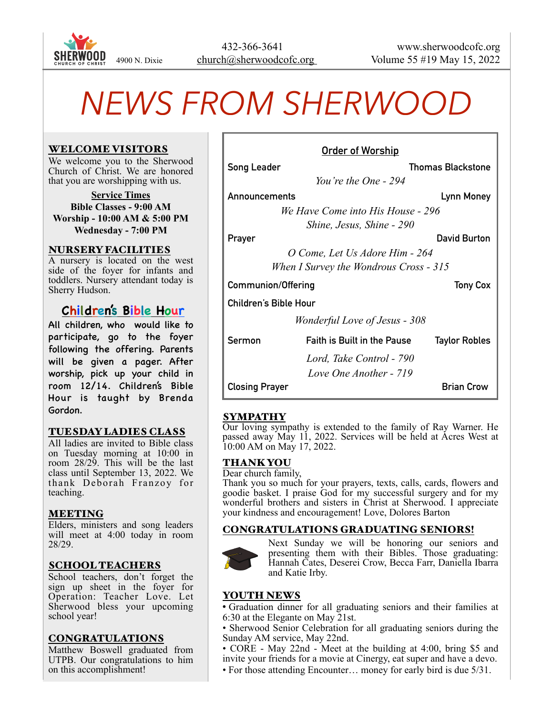

# *NEWS FROM SHERWOOD*

#### WELCOME VISITORS

We welcome you to the Sherwood Church of Christ. We are honored that you are worshipping with us.

**Service Times Bible Classes - 9:00 AM Worship - 10:00 AM & 5:00 PM Wednesday - 7:00 PM**

#### NURSERY FACILITIES

A nursery is located on the west side of the foyer for infants and toddlers. Nursery attendant today is Sherry Hudson.

# **Children's Bible Hour**

All children, who would like to participate, go to the foyer following the offering. Parents will be given a pager. After worship, pick up your child in room 12/14. Children's Bible Hour is taught by Brenda Gordon.

# TUESDAY LADIES CLASS

All ladies are invited to Bible class on Tuesday morning at 10:00 in room 28/29. This will be the last class until September 13, 2022. We thank Deborah Franzoy for teaching.

#### MEETING

Elders, ministers and song leaders will meet at 4:00 today in room 28/29.

#### SCHOOL TEACHERS

School teachers, don't forget the sign up sheet in the foyer for Operation: Teacher Love. Let Sherwood bless your upcoming school year!

#### CONGRATULATIONS

Matthew Boswell graduated from UTPB. Our congratulations to him on this accomplishment!

| <u>Order of Worship</u>                |                                      |                          |  |
|----------------------------------------|--------------------------------------|--------------------------|--|
| <b>Song Leader</b>                     |                                      | <b>Thomas Blackstone</b> |  |
| You're the One - 294                   |                                      |                          |  |
| Announcements                          |                                      | Lynn Money               |  |
| We Have Come into His House - 296      |                                      |                          |  |
| Shine, Jesus, Shine - 290              |                                      |                          |  |
| Prayer                                 |                                      | David Burton             |  |
| O Come, Let Us Adore Him - 264         |                                      |                          |  |
| When I Survey the Wondrous Cross - 315 |                                      |                          |  |
| <b>Communion/Offering</b>              |                                      | <b>Tony Cox</b>          |  |
| Children's Bible Hour                  |                                      |                          |  |
|                                        | <i>Wonderful Love of Jesus - 308</i> |                          |  |
| Sermon                                 | Faith is Built in the Pause          | <b>Taylor Robles</b>     |  |
|                                        | Lord, Take Control - 790             |                          |  |
|                                        | Love One Another - 719               |                          |  |
| <b>Closing Prayer</b>                  |                                      | <b>Brian Crow</b>        |  |

#### SYMPATHY

Our loving sympathy is extended to the family of Ray Warner. He passed away May 11, 2022. Services will be held at Acres West at 10:00 AM on May 17, 2022.

# THANK YOU

Dear church family,

Thank you so much for your prayers, texts, calls, cards, flowers and goodie basket. I praise God for my successful surgery and for my wonderful brothers and sisters in Christ at Sherwood. I appreciate your kindness and encouragement! Love, Dolores Barton

#### CONGRATULATIONS GRADUATING SENIORS!



Next Sunday we will be honoring our seniors and presenting them with their Bibles. Those graduating: Hannah Cates, Deserei Crow, Becca Farr, Daniella Ibarra and Katie Irby.

# YOUTH NEWS

• Graduation dinner for all graduating seniors and their families at 6:30 at the Elegante on May 21st.

- Sherwood Senior Celebration for all graduating seniors during the Sunday AM service, May 22nd.
- CORE May 22nd Meet at the building at 4:00, bring \$5 and invite your friends for a movie at Cinergy, eat super and have a devo.
- For those attending Encounter… money for early bird is due 5/31.